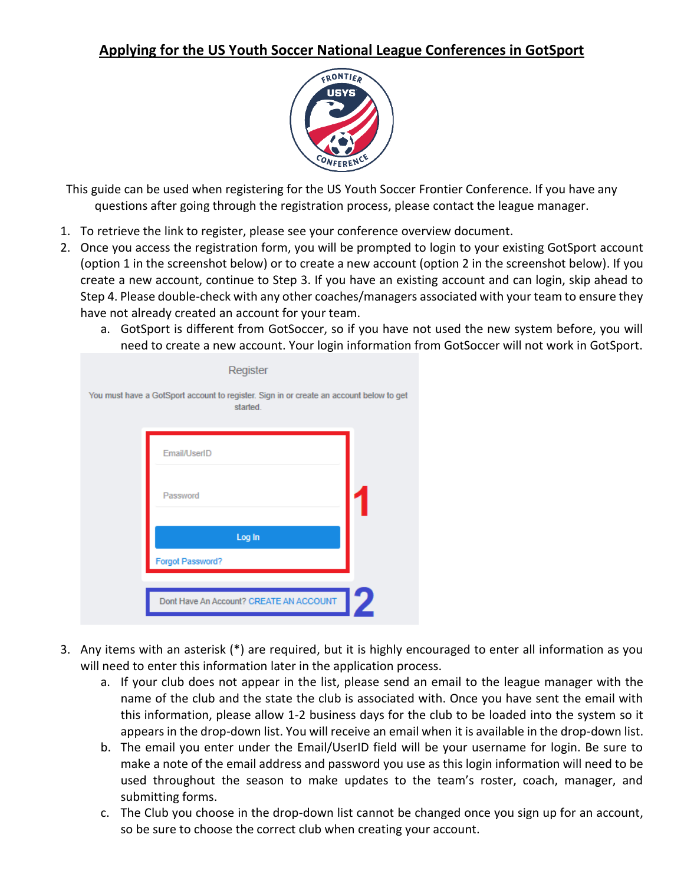## **Applying for the US Youth Soccer National League Conferences in GotSport**



This guide can be used when registering for the US Youth Soccer Frontier Conference. If you have any questions after going through the registration process, please contact the league manager.

- 1. To retrieve the link to register, please see your conference overview document.
- 2. Once you access the registration form, you will be prompted to login to your existing GotSport account (option 1 in the screenshot below) or to create a new account (option 2 in the screenshot below). If you create a new account, continue to Step 3. If you have an existing account and can login, skip ahead to Step 4. Please double-check with any other coaches/managers associated with your team to ensure they have not already created an account for your team.
	- a. GotSport is different from GotSoccer, so if you have not used the new system before, you will need to create a new account. Your login information from GotSoccer will not work in GotSport.

| Register                                                                                            |   |
|-----------------------------------------------------------------------------------------------------|---|
| You must have a GotSport account to register. Sign in or create an account below to get<br>started. |   |
| Email/UserID                                                                                        |   |
| Password                                                                                            |   |
| Log In<br>Forgot Password?                                                                          |   |
|                                                                                                     |   |
| Dont Have An Account? CREATE AN ACCOUNT                                                             | 2 |

- 3. Any items with an asterisk (\*) are required, but it is highly encouraged to enter all information as you will need to enter this information later in the application process.
	- a. If your club does not appear in the list, please send an email to the league manager with the name of the club and the state the club is associated with. Once you have sent the email with this information, please allow 1-2 business days for the club to be loaded into the system so it appears in the drop-down list. You will receive an email when it is available in the drop-down list.
	- b. The email you enter under the Email/UserID field will be your username for login. Be sure to make a note of the email address and password you use as this login information will need to be used throughout the season to make updates to the team's roster, coach, manager, and submitting forms.
	- c. The Club you choose in the drop-down list cannot be changed once you sign up for an account, so be sure to choose the correct club when creating your account.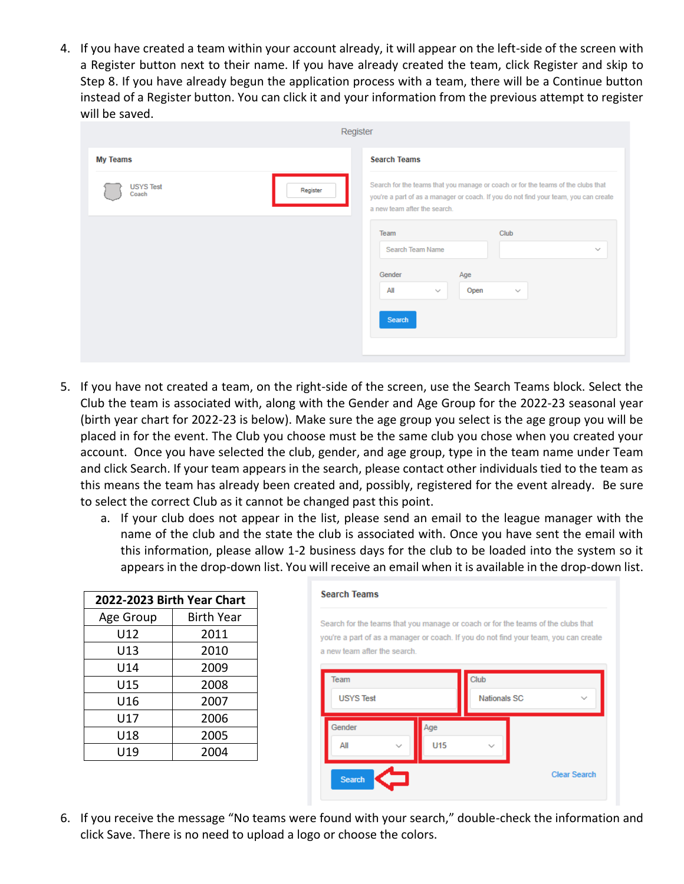4. If you have created a team within your account already, it will appear on the left-side of the screen with a Register button next to their name. If you have already created the team, click Register and skip to Step 8. If you have already begun the application process with a team, there will be a Continue button instead of a Register button. You can click it and your information from the previous attempt to register will be saved.

|                                       | Register                                                                                                                                                                                                 |
|---------------------------------------|----------------------------------------------------------------------------------------------------------------------------------------------------------------------------------------------------------|
| <b>My Teams</b>                       | <b>Search Teams</b>                                                                                                                                                                                      |
| <b>USYS Test</b><br>Register<br>Coach | Search for the teams that you manage or coach or for the teams of the clubs that<br>you're a part of as a manager or coach. If you do not find your team, you can create<br>a new team after the search. |
|                                       | Club<br>Team<br>Search Team Name<br>$\checkmark$<br>Gender<br>Age<br>All<br>Open<br>$\checkmark$<br>$\checkmark$                                                                                         |
|                                       | Search                                                                                                                                                                                                   |

- 5. If you have not created a team, on the right-side of the screen, use the Search Teams block. Select the Club the team is associated with, along with the Gender and Age Group for the 2022-23 seasonal year (birth year chart for 2022-23 is below). Make sure the age group you select is the age group you will be placed in for the event. The Club you choose must be the same club you chose when you created your account. Once you have selected the club, gender, and age group, type in the team name under Team and click Search. If your team appears in the search, please contact other individuals tied to the team as this means the team has already been created and, possibly, registered for the event already. Be sure to select the correct Club as it cannot be changed past this point.
	- a. If your club does not appear in the list, please send an email to the league manager with the name of the club and the state the club is associated with. Once you have sent the email with this information, please allow 1-2 business days for the club to be loaded into the system so it appears in the drop-down list. You will receive an email when it is available in the drop-down list.

| 2022-2023 Birth Year Chart |                   |  |
|----------------------------|-------------------|--|
| Age Group                  | <b>Birth Year</b> |  |
| U12                        | 2011              |  |
| U13                        | 2010              |  |
| U14                        | 2009              |  |
| U15                        | 2008              |  |
| U16                        | 2007              |  |
| U17                        | 2006              |  |
| U18                        | 2005              |  |
| U19                        | 2004              |  |

| <b>Search Teams</b><br>a new team after the search. |                   | Search for the teams that you manage or coach or for the teams of the clubs that<br>you're a part of as a manager or coach. If you do not find your team, you can create |  |
|-----------------------------------------------------|-------------------|--------------------------------------------------------------------------------------------------------------------------------------------------------------------------|--|
| Team<br><b>USYS Test</b>                            |                   | Club<br><b>Nationals SC</b>                                                                                                                                              |  |
| Gender<br>All                                       | Age<br><b>U15</b> |                                                                                                                                                                          |  |
| <b>Search</b>                                       |                   | <b>Clear Search</b>                                                                                                                                                      |  |

6. If you receive the message "No teams were found with your search," double-check the information and click Save. There is no need to upload a logo or choose the colors.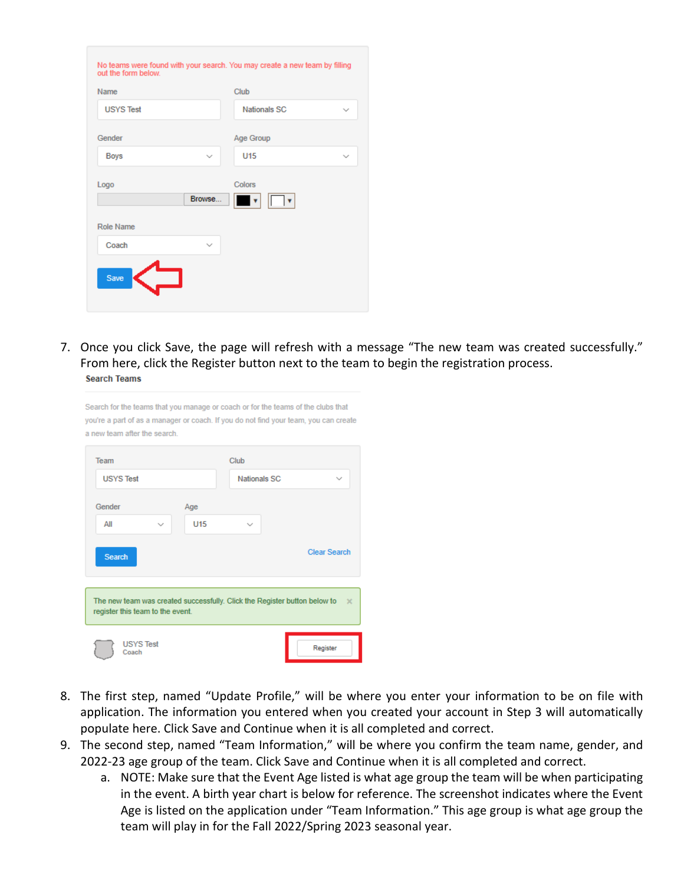| Name              |              | Club                |              |
|-------------------|--------------|---------------------|--------------|
| <b>USYS Test</b>  |              | <b>Nationals SC</b> | $\checkmark$ |
| Gender            |              | Age Group           |              |
| <b>Boys</b>       | $\checkmark$ | <b>U15</b>          | $\checkmark$ |
| Logo<br>Role Name | Browse       | Colors              |              |
| Coach             | $\checkmark$ |                     |              |
|                   |              |                     |              |

7. Once you click Save, the page will refresh with a message "The new team was created successfully." From here, click the Register button next to the team to begin the registration process. **Search Teams** 

| a new team after the search.     |                  |                 |                     |                                                                                       |
|----------------------------------|------------------|-----------------|---------------------|---------------------------------------------------------------------------------------|
| Team                             |                  |                 | Club                |                                                                                       |
| <b>USYS Test</b>                 |                  |                 | <b>Nationals SC</b> | $\checkmark$                                                                          |
| Gender                           |                  | Age             |                     |                                                                                       |
| ΑII                              | $\checkmark$     | U <sub>15</sub> | $\checkmark$        |                                                                                       |
| <b>Search</b>                    |                  |                 |                     | <b>Clear Search</b>                                                                   |
| register this team to the event. |                  |                 |                     | The new team was created successfully. Click the Register button below to<br>$\times$ |
| Coach                            | <b>USYS Test</b> |                 |                     | Register                                                                              |

Search for the teams that you manage or coach or for the teams of the clubs that you're a part of as a manager or coach. If you do not find your team, you can create

- 8. The first step, named "Update Profile," will be where you enter your information to be on file with application. The information you entered when you created your account in Step 3 will automatically populate here. Click Save and Continue when it is all completed and correct.
- 9. The second step, named "Team Information," will be where you confirm the team name, gender, and 2022-23 age group of the team. Click Save and Continue when it is all completed and correct.
	- a. NOTE: Make sure that the Event Age listed is what age group the team will be when participating in the event. A birth year chart is below for reference. The screenshot indicates where the Event Age is listed on the application under "Team Information." This age group is what age group the team will play in for the Fall 2022/Spring 2023 seasonal year.